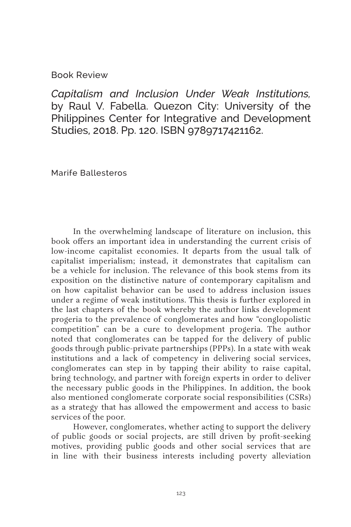## Book Review

*Capitalism and Inclusion Under Weak Institutions,*  by Raul V. Fabella. Quezon City: University of the Philippines Center for Integrative and Development Studies, 2018. Pp. 120. ISBN 9789717421162.

Marife Ballesteros

In the overwhelming landscape of literature on inclusion, this book offers an important idea in understanding the current crisis of low-income capitalist economies. It departs from the usual talk of capitalist imperialism; instead, it demonstrates that capitalism can be a vehicle for inclusion. The relevance of this book stems from its exposition on the distinctive nature of contemporary capitalism and on how capitalist behavior can be used to address inclusion issues under a regime of weak institutions. This thesis is further explored in the last chapters of the book whereby the author links development progeria to the prevalence of conglomerates and how "conglopolistic competition" can be a cure to development progeria. The author noted that conglomerates can be tapped for the delivery of public goods through public-private partnerships (PPPs). In a state with weak institutions and a lack of competency in delivering social services, conglomerates can step in by tapping their ability to raise capital, bring technology, and partner with foreign experts in order to deliver the necessary public goods in the Philippines. In addition, the book also mentioned conglomerate corporate social responsibilities (CSRs) as a strategy that has allowed the empowerment and access to basic services of the poor.

However, conglomerates, whether acting to support the delivery of public goods or social projects, are still driven by profit-seeking motives, providing public goods and other social services that are in line with their business interests including poverty alleviation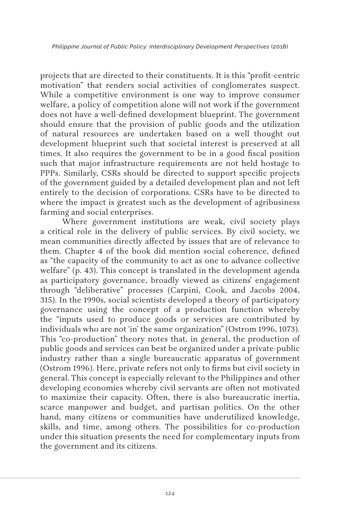projects that are directed to their constituents. It is this "profit-centric motivation" that renders social activities of conglomerates suspect. While a competitive environment is one way to improve consumer welfare, a policy of competition alone will not work if the government does not have a well-defined development blueprint. The government should ensure that the provision of public goods and the utilization of natural resources are undertaken based on a well thought out development blueprint such that societal interest is preserved at all times. It also requires the government to be in a good fiscal position such that major infrastructure requirements are not held hostage to PPPs. Similarly, CSRs should be directed to support specific projects of the government guided by a detailed development plan and not left entirely to the decision of corporations. CSRs have to be directed to where the impact is greatest such as the development of agribusiness farming and social enterprises.

Where government institutions are weak, civil society plays a critical role in the delivery of public services. By civil society, we mean communities directly affected by issues that are of relevance to them. Chapter 4 of the book did mention social coherence, defined as "the capacity of the community to act as one to advance collective welfare" (p. 43). This concept is translated in the development agenda as participatory governance, broadly viewed as citizens' engagement through "deliberative" processes (Carpini, Cook, and Jacobs 2004, 315). In the 1990s, social scientists developed a theory of participatory governance using the concept of a production function whereby the "inputs used to produce goods or services are contributed by individuals who are not 'in' the same organization" (Ostrom 1996, 1073). This "co-production" theory notes that, in general, the production of public goods and services can best be organized under a private-public industry rather than a single bureaucratic apparatus of government (Ostrom 1996). Here, private refers not only to firms but civil society in general. This concept is especially relevant to the Philippines and other developing economies whereby civil servants are often not motivated to maximize their capacity. Often, there is also bureaucratic inertia, scarce manpower and budget, and partisan politics. On the other hand, many citizens or communities have underutilized knowledge, skills, and time, among others. The possibilities for co-production under this situation presents the need for complementary inputs from the government and its citizens.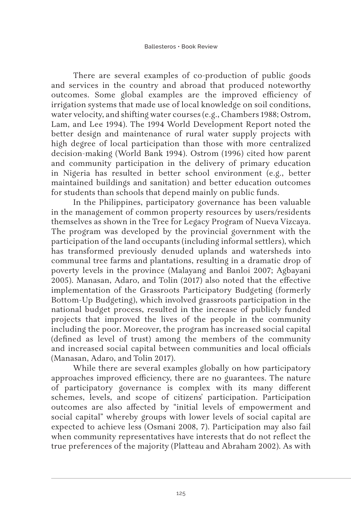There are several examples of co-production of public goods and services in the country and abroad that produced noteworthy outcomes. Some global examples are the improved efficiency of irrigation systems that made use of local knowledge on soil conditions, water velocity, and shifting water courses (e.g., Chambers 1988; Ostrom, Lam, and Lee 1994). The 1994 World Development Report noted the better design and maintenance of rural water supply projects with high degree of local participation than those with more centralized decision-making (World Bank 1994). Ostrom (1996) cited how parent and community participation in the delivery of primary education in Nigeria has resulted in better school environment (e.g., better maintained buildings and sanitation) and better education outcomes for students than schools that depend mainly on public funds.

In the Philippines, participatory governance has been valuable in the management of common property resources by users/residents themselves as shown in the Tree for Legacy Program of Nueva Vizcaya. The program was developed by the provincial government with the participation of the land occupants (including informal settlers), which has transformed previously denuded uplands and watersheds into communal tree farms and plantations, resulting in a dramatic drop of poverty levels in the province (Malayang and Banloi 2007; Agbayani 2005). Manasan, Adaro, and Tolin (2017) also noted that the effective implementation of the Grassroots Participatory Budgeting (formerly Bottom-Up Budgeting), which involved grassroots participation in the national budget process, resulted in the increase of publicly funded projects that improved the lives of the people in the community including the poor. Moreover, the program has increased social capital (defined as level of trust) among the members of the community and increased social capital between communities and local officials (Manasan, Adaro, and Tolin 2017).

While there are several examples globally on how participatory approaches improved efficiency, there are no guarantees. The nature of participatory governance is complex with its many different schemes, levels, and scope of citizens' participation. Participation outcomes are also affected by "initial levels of empowerment and social capital" whereby groups with lower levels of social capital are expected to achieve less (Osmani 2008, 7). Participation may also fail when community representatives have interests that do not reflect the true preferences of the majority (Platteau and Abraham 2002). As with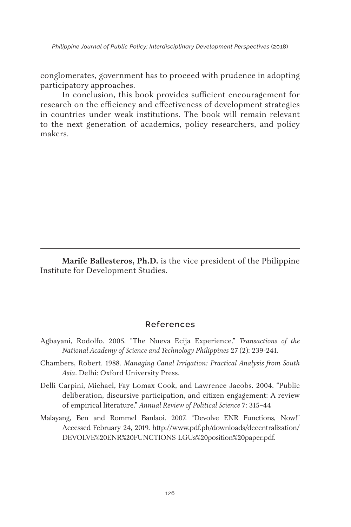*Philippine Journal of Public Policy: Interdisciplinary Development Perspectives* (2018)

conglomerates, government has to proceed with prudence in adopting participatory approaches.

In conclusion, this book provides sufficient encouragement for research on the efficiency and effectiveness of development strategies in countries under weak institutions. The book will remain relevant to the next generation of academics, policy researchers, and policy makers.

**Marife Ballesteros, Ph.D.** is the vice president of the Philippine Institute for Development Studies.

## **References**

- Agbayani, Rodolfo. 2005. "The Nueva Ecija Experience." *Transactions of the National Academy of Science and Technology Philippines* 27 (2): 239-241.
- Chambers, Robert. 1988. *Managing Canal Irrigation: Practical Analysis from South Asia*. Delhi: Oxford University Press.
- Delli Carpini, Michael, Fay Lomax Cook, and Lawrence Jacobs. 2004. "Public deliberation, discursive participation, and citizen engagement: A review of empirical literature." *Annual Review of Political Science* 7: 315–44
- Malayang, Ben and Rommel Banlaoi. 2007. "Devolve ENR Functions, Now!" Accessed February 24, 2019. http://www.pdf.ph/downloads/decentralization/ DEVOLVE%20ENR%20FUNCTIONS-LGUs%20position%20paper.pdf.